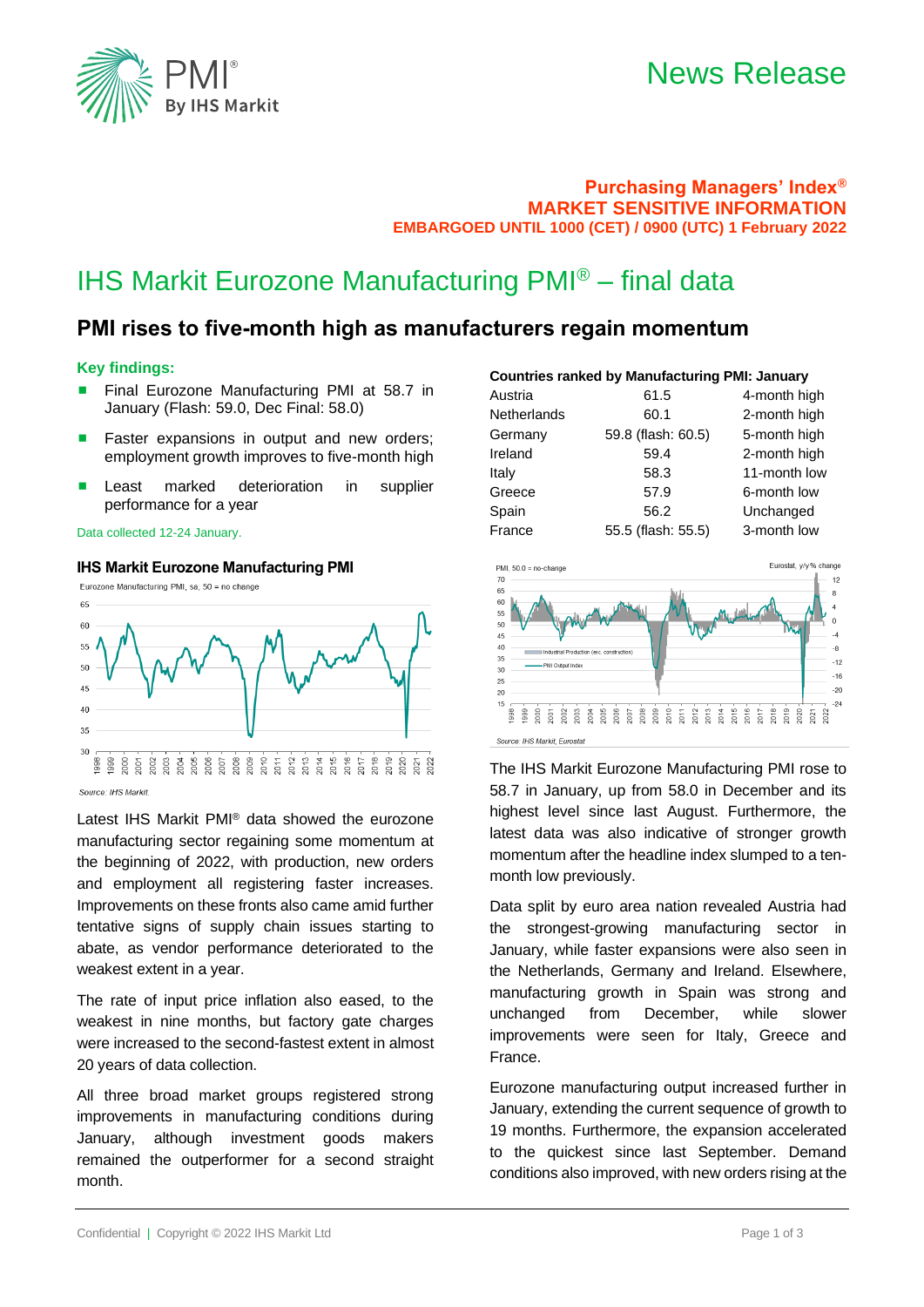

### News Release

### **Purchasing Managers' Index® MARKET SENSITIVE INFORMATION EMBARGOED UNTIL 1000 (CET) / 0900 (UTC) 1 February 2022**

# IHS Markit Eurozone Manufacturing PMI® – final data

### **PMI rises to five-month high as manufacturers regain momentum**

### **Key findings:**

- Final Eurozone Manufacturing PMI at 58.7 in January (Flash: 59.0, Dec Final: 58.0)
- Faster expansions in output and new orders: employment growth improves to five-month high
- Least marked deterioration in supplier performance for a year

#### Data collected 12-24 January.

### **IHS Markit Eurozone Manufacturing PMI**

Eurozone Manufacturing PMI, sa, 50 = no change



Source: IHS Markit

Latest IHS Markit PMI® data showed the eurozone manufacturing sector regaining some momentum at the beginning of 2022, with production, new orders and employment all registering faster increases. Improvements on these fronts also came amid further tentative signs of supply chain issues starting to abate, as vendor performance deteriorated to the weakest extent in a year.

The rate of input price inflation also eased, to the weakest in nine months, but factory gate charges were increased to the second-fastest extent in almost 20 years of data collection.

All three broad market groups registered strong improvements in manufacturing conditions during January, although investment goods makers remained the outperformer for a second straight month.

### **Countries ranked by Manufacturing PMI: January**

| Austria            | 61.5               | 4-month high |
|--------------------|--------------------|--------------|
| <b>Netherlands</b> | 60.1               | 2-month high |
| Germany            | 59.8 (flash: 60.5) | 5-month high |
| Ireland            | 59.4               | 2-month high |
| Italy              | 58.3               | 11-month low |
| Greece             | 57.9               | 6-month low  |
| Spain              | 56.2               | Unchanged    |
| France             | 55.5 (flash: 55.5) | 3-month low  |
|                    |                    |              |



Source: IHS Markit, Eurostal

The IHS Markit Eurozone Manufacturing PMI rose to 58.7 in January, up from 58.0 in December and its highest level since last August. Furthermore, the latest data was also indicative of stronger growth momentum after the headline index slumped to a tenmonth low previously.

Data split by euro area nation revealed Austria had the strongest-growing manufacturing sector in January, while faster expansions were also seen in the Netherlands, Germany and Ireland. Elsewhere, manufacturing growth in Spain was strong and unchanged from December, while slower improvements were seen for Italy, Greece and France.

Eurozone manufacturing output increased further in January, extending the current sequence of growth to 19 months. Furthermore, the expansion accelerated to the quickest since last September. Demand conditions also improved, with new orders rising at the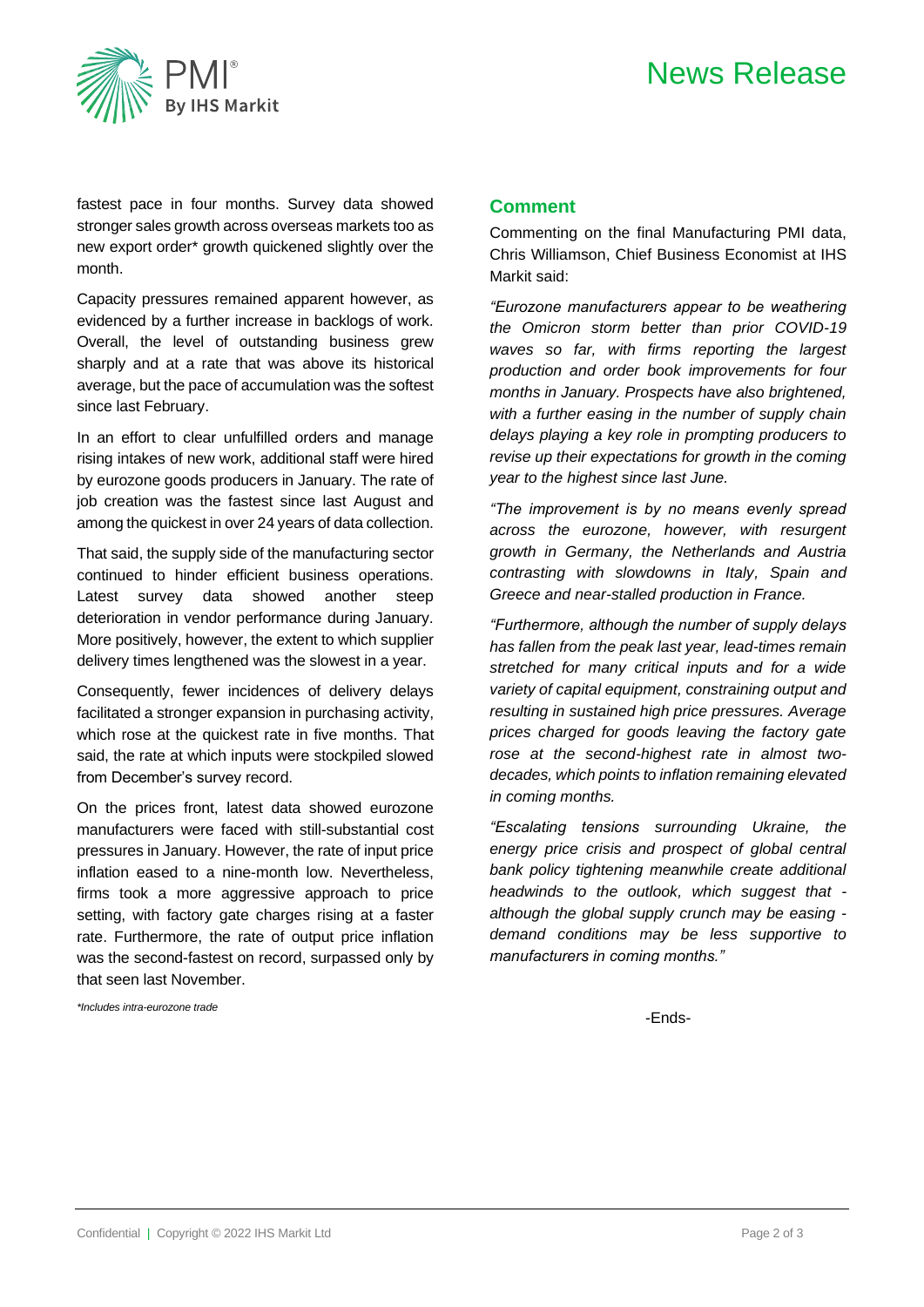# News Release



fastest pace in four months. Survey data showed stronger sales growth across overseas markets too as new export order\* growth quickened slightly over the month.

Capacity pressures remained apparent however, as evidenced by a further increase in backlogs of work. Overall, the level of outstanding business grew sharply and at a rate that was above its historical average, but the pace of accumulation was the softest since last February.

In an effort to clear unfulfilled orders and manage rising intakes of new work, additional staff were hired by eurozone goods producers in January. The rate of job creation was the fastest since last August and among the quickest in over 24 years of data collection.

That said, the supply side of the manufacturing sector continued to hinder efficient business operations. Latest survey data showed another steep deterioration in vendor performance during January. More positively, however, the extent to which supplier delivery times lengthened was the slowest in a year.

Consequently, fewer incidences of delivery delays facilitated a stronger expansion in purchasing activity, which rose at the quickest rate in five months. That said, the rate at which inputs were stockpiled slowed from December's survey record.

On the prices front, latest data showed eurozone manufacturers were faced with still-substantial cost pressures in January. However, the rate of input price inflation eased to a nine-month low. Nevertheless, firms took a more aggressive approach to price setting, with factory gate charges rising at a faster rate. Furthermore, the rate of output price inflation was the second-fastest on record, surpassed only by that seen last November.

*\*Includes intra-eurozone trade*

### **Comment**

Commenting on the final Manufacturing PMI data, Chris Williamson, Chief Business Economist at IHS Markit said:

*"Eurozone manufacturers appear to be weathering the Omicron storm better than prior COVID-19 waves so far, with firms reporting the largest production and order book improvements for four months in January. Prospects have also brightened, with a further easing in the number of supply chain delays playing a key role in prompting producers to revise up their expectations for growth in the coming year to the highest since last June.* 

*"The improvement is by no means evenly spread across the eurozone, however, with resurgent growth in Germany, the Netherlands and Austria contrasting with slowdowns in Italy, Spain and Greece and near-stalled production in France.* 

*"Furthermore, although the number of supply delays has fallen from the peak last year, lead-times remain stretched for many critical inputs and for a wide variety of capital equipment, constraining output and resulting in sustained high price pressures. Average prices charged for goods leaving the factory gate rose at the second-highest rate in almost twodecades, which points to inflation remaining elevated in coming months.* 

*"Escalating tensions surrounding Ukraine, the energy price crisis and prospect of global central bank policy tightening meanwhile create additional headwinds to the outlook, which suggest that although the global supply crunch may be easing demand conditions may be less supportive to manufacturers in coming months."*

-Ends-